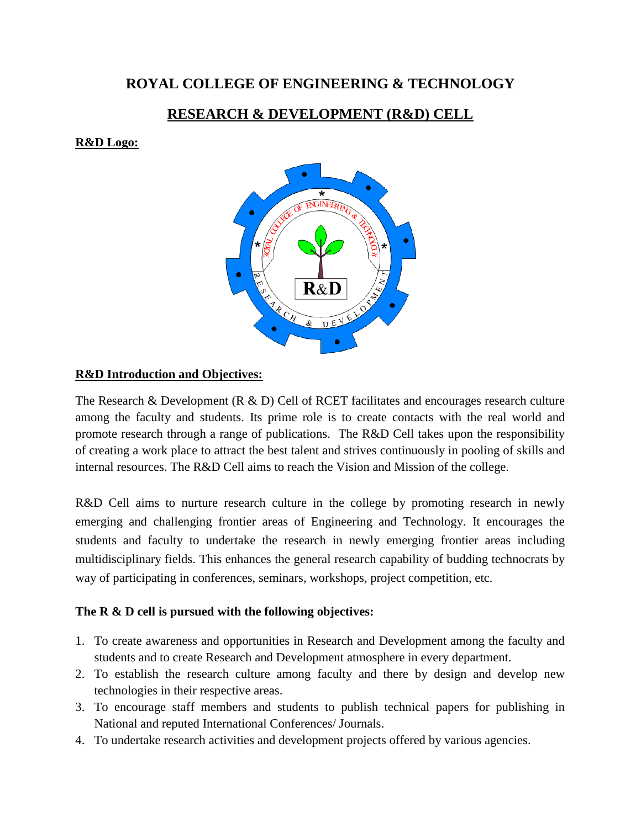# **ROYAL COLLEGE OF ENGINEERING & TECHNOLOGY**

# **RESEARCH & DEVELOPMENT (R&D) CELL**

#### **R&D Logo:**



### **R&D Introduction and Objectives:**

The Research & Development (R & D) Cell of RCET facilitates and encourages research culture among the faculty and students. Its prime role is to create contacts with the real world and promote research through a range of publications. The R&D Cell takes upon the responsibility of creating a work place to attract the best talent and strives continuously in pooling of skills and internal resources. The R&D Cell aims to reach the Vision and Mission of the college.

R&D Cell aims to nurture research culture in the college by promoting research in newly emerging and challenging frontier areas of Engineering and Technology. It encourages the students and faculty to undertake the research in newly emerging frontier areas including multidisciplinary fields. This enhances the general research capability of budding technocrats by way of participating in conferences, seminars, workshops, project competition, etc.

### **The R & D cell is pursued with the following objectives:**

- 1. To create awareness and opportunities in Research and Development among the faculty and students and to create Research and Development atmosphere in every department.
- 2. To establish the research culture among faculty and there by design and develop new technologies in their respective areas.
- 3. To encourage staff members and students to publish technical papers for publishing in National and reputed International Conferences/ Journals.
- 4. To undertake research activities and development projects offered by various agencies.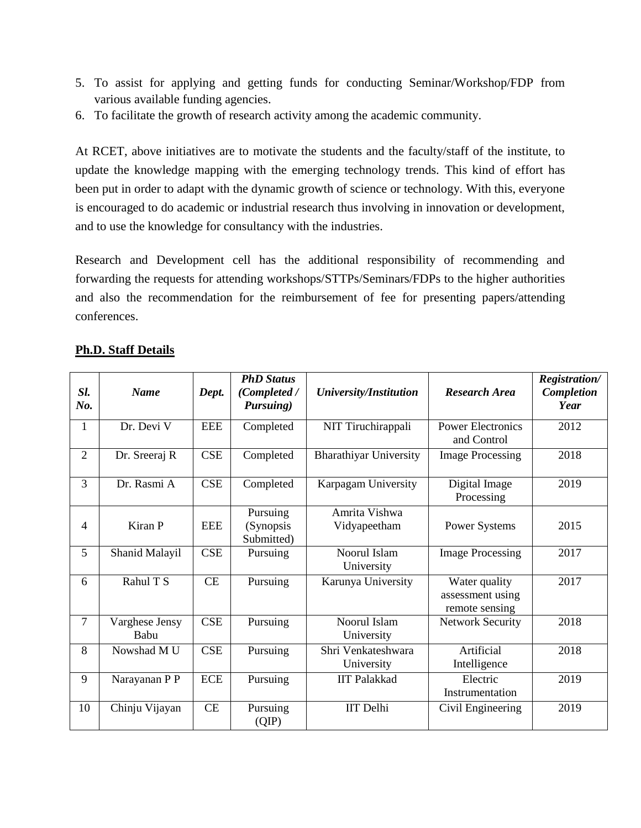- 5. To assist for applying and getting funds for conducting Seminar/Workshop/FDP from various available funding agencies.
- 6. To facilitate the growth of research activity among the academic community.

At RCET, above initiatives are to motivate the students and the faculty/staff of the institute, to update the knowledge mapping with the emerging technology trends. This kind of effort has been put in order to adapt with the dynamic growth of science or technology. With this, everyone is encouraged to do academic or industrial research thus involving in innovation or development, and to use the knowledge for consultancy with the industries.

Research and Development cell has the additional responsibility of recommending and forwarding the requests for attending workshops/STTPs/Seminars/FDPs to the higher authorities and also the recommendation for the reimbursement of fee for presenting papers/attending conferences.

| Sl.<br>No.     | <b>Name</b>            | Dept.      | <b>PhD Status</b><br>(Completed /<br>Pursuing) | <b>University/Institution</b>                                             | <b>Research Area</b>        | <b>Registration/</b><br>Completion<br>Year |
|----------------|------------------------|------------|------------------------------------------------|---------------------------------------------------------------------------|-----------------------------|--------------------------------------------|
| $\mathbf{1}$   | Dr. Devi V             | <b>EEE</b> | Completed                                      | NIT Tiruchirappali<br><b>Power Electronics</b><br>and Control             |                             | 2012                                       |
| 2              | Dr. Sreeraj R          | CSE        | Completed                                      | <b>Bharathiyar University</b><br><b>Image Processing</b>                  |                             | 2018                                       |
| 3              | Dr. Rasmi A            | CSE        | Completed                                      | Karpagam University                                                       | Digital Image<br>Processing | 2019                                       |
| 4              | Kiran P                | <b>EEE</b> | Pursuing<br>(Synopsis<br>Submitted)            | Amrita Vishwa<br>Vidyapeetham                                             | <b>Power Systems</b>        | 2015                                       |
| 5              | Shanid Malayil         | <b>CSE</b> | Pursuing                                       | Noorul Islam<br>University                                                | <b>Image Processing</b>     | 2017                                       |
| 6              | Rahul T S              | CE         | Pursuing                                       | Karunya University<br>Water quality<br>assessment using<br>remote sensing |                             | 2017                                       |
| $\overline{7}$ | Varghese Jensy<br>Babu | <b>CSE</b> | Pursuing                                       | Noorul Islam<br>University                                                | <b>Network Security</b>     | 2018                                       |
| 8              | Nowshad M U            | <b>CSE</b> | Pursuing                                       | Shri Venkateshwara<br>University                                          | Artificial<br>Intelligence  | 2018                                       |
| 9              | Narayanan P P          | ECE        | Pursuing                                       | <b>IIT Palakkad</b>                                                       | Electric<br>Instrumentation | 2019                                       |
| 10             | Chinju Vijayan         | CE         | Pursuing<br>(QIP)                              | <b>IIT</b> Delhi                                                          | Civil Engineering           | 2019                                       |

#### **Ph.D. Staff Details**